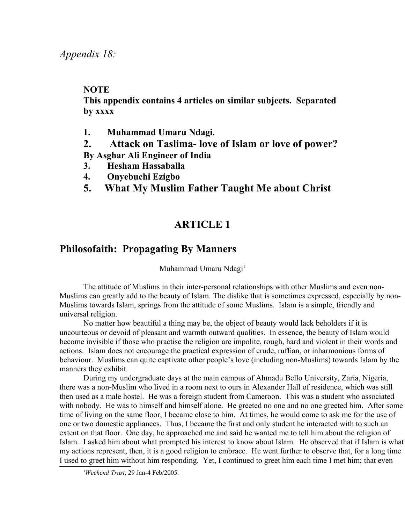## **NOTE**

**This appendix contains 4 articles on similar subjects. Separated by xxxx**

- **1. Muhammad Umaru Ndagi.**
- **2. Attack on Taslima- love of Islam or love of power?**
- **By Asghar Ali Engineer of India**
- **3. Hesham Hassaballa**
- **4. Onyebuchi Ezigbo**
- **5. What My Muslim Father Taught Me about Christ**

## **ARTICLE 1**

## **Philosofaith: Propagating By Manners**

Muhammad Umaru Ndagi<sup>[1](#page-0-0)</sup>

The attitude of Muslims in their inter-personal relationships with other Muslims and even non-Muslims can greatly add to the beauty of Islam. The dislike that is sometimes expressed, especially by non-Muslims towards Islam, springs from the attitude of some Muslims. Islam is a simple, friendly and universal religion.

No matter how beautiful a thing may be, the object of beauty would lack beholders if it is uncourteous or devoid of pleasant and warmth outward qualities. In essence, the beauty of Islam would become invisible if those who practise the religion are impolite, rough, hard and violent in their words and actions. Islam does not encourage the practical expression of crude, ruffian, or inharmonious forms of behaviour. Muslims can quite captivate other people's love (including non-Muslims) towards Islam by the manners they exhibit.

During my undergraduate days at the main campus of Ahmadu Bello University, Zaria, Nigeria, there was a non-Muslim who lived in a room next to ours in Alexander Hall of residence, which was still then used as a male hostel. He was a foreign student from Cameroon. This was a student who associated with nobody. He was to himself and himself alone. He greeted no one and no one greeted him. After some time of living on the same floor, I became close to him. At times, he would come to ask me for the use of one or two domestic appliances. Thus, I became the first and only student he interacted with to such an extent on that floor. One day, he approached me and said he wanted me to tell him about the religion of Islam. I asked him about what prompted his interest to know about Islam. He observed that if Islam is what my actions represent, then, it is a good religion to embrace. He went further to observe that, for a long time I used to greet him without him responding. Yet, I continued to greet him each time I met him; that even

<span id="page-0-0"></span><sup>1</sup>*Weekend Trust*, 29 Jan-4 Feb/2005.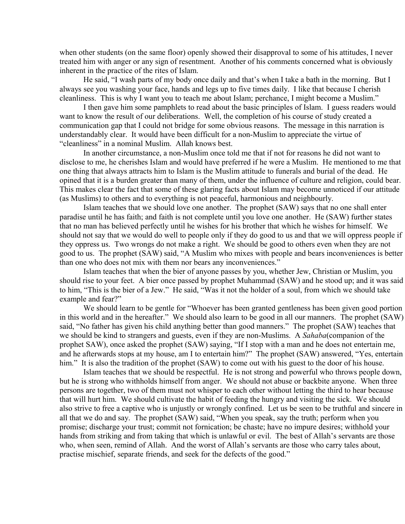when other students (on the same floor) openly showed their disapproval to some of his attitudes, I never treated him with anger or any sign of resentment. Another of his comments concerned what is obviously inherent in the practice of the rites of Islam.

He said, "I wash parts of my body once daily and that's when I take a bath in the morning. But I always see you washing your face, hands and legs up to five times daily. I like that because I cherish cleanliness. This is why I want you to teach me about Islam; perchance, I might become a Muslim."

I then gave him some pamphlets to read about the basic principles of Islam. I guess readers would want to know the result of our deliberations. Well, the completion of his course of study created a communication gap that I could not bridge for some obvious reasons. The message in this narration is understandably clear. It would have been difficult for a non-Muslim to appreciate the virtue of "cleanliness" in a nominal Muslim. Allah knows best.

In another circumstance, a non-Muslim once told me that if not for reasons he did not want to disclose to me, he cherishes Islam and would have preferred if he were a Muslim. He mentioned to me that one thing that always attracts him to Islam is the Muslim attitude to funerals and burial of the dead. He opined that it is a burden greater than many of them, under the influence of culture and religion, could bear. This makes clear the fact that some of these glaring facts about Islam may become unnoticed if our attitude (as Muslims) to others and to everything is not peaceful, harmonious and neighbourly.

Islam teaches that we should love one another. The prophet (SAW) says that no one shall enter paradise until he has faith; and faith is not complete until you love one another. He (SAW) further states that no man has believed perfectly until he wishes for his brother that which he wishes for himself. We should not say that we would do well to people only if they do good to us and that we will oppress people if they oppress us. Two wrongs do not make a right. We should be good to others even when they are not good to us. The prophet (SAW) said, "A Muslim who mixes with people and bears inconveniences is better than one who does not mix with them nor bears any inconveniences."

Islam teaches that when the bier of anyone passes by you, whether Jew, Christian or Muslim, you should rise to your feet. A bier once passed by prophet Muhammad (SAW) and he stood up; and it was said to him, "This is the bier of a Jew." He said, "Was it not the holder of a soul, from which we should take example and fear?"

We should learn to be gentle for "Whoever has been granted gentleness has been given good portion in this world and in the hereafter." We should also learn to be good in all our manners. The prophet (SAW) said, "No father has given his child anything better than good manners." The prophet (SAW) teaches that we should be kind to strangers and guests, even if they are non-Muslims. A *Sahaba*(companion of the prophet SAW), once asked the prophet (SAW) saying, "If I stop with a man and he does not entertain me, and he afterwards stops at my house, am I to entertain him?" The prophet (SAW) answered, "Yes, entertain him." It is also the tradition of the prophet (SAW) to come out with his guest to the door of his house.

Islam teaches that we should be respectful. He is not strong and powerful who throws people down, but he is strong who withholds himself from anger. We should not abuse or backbite anyone. When three persons are together, two of them must not whisper to each other without letting the third to hear because that will hurt him. We should cultivate the habit of feeding the hungry and visiting the sick. We should also strive to free a captive who is unjustly or wrongly confined. Let us be seen to be truthful and sincere in all that we do and say. The prophet (SAW) said, "When you speak, say the truth; perform when you promise; discharge your trust; commit not fornication; be chaste; have no impure desires; withhold your hands from striking and from taking that which is unlawful or evil. The best of Allah's servants are those who, when seen, remind of Allah. And the worst of Allah's servants are those who carry tales about, practise mischief, separate friends, and seek for the defects of the good."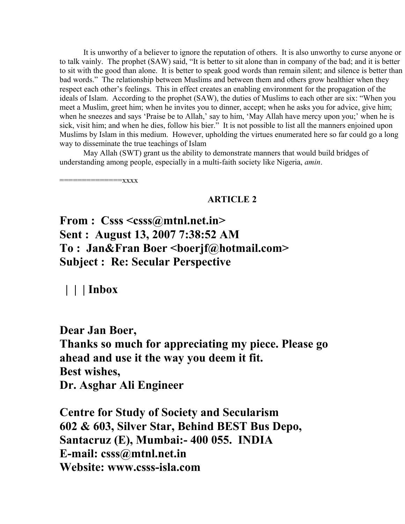It is unworthy of a believer to ignore the reputation of others. It is also unworthy to curse anyone or to talk vainly. The prophet (SAW) said, "It is better to sit alone than in company of the bad; and it is better to sit with the good than alone. It is better to speak good words than remain silent; and silence is better than bad words." The relationship between Muslims and between them and others grow healthier when they respect each other's feelings. This in effect creates an enabling environment for the propagation of the ideals of Islam. According to the prophet (SAW), the duties of Muslims to each other are six: "When you meet a Muslim, greet him; when he invites you to dinner, accept; when he asks you for advice, give him; when he sneezes and says 'Praise be to Allah,' say to him, 'May Allah have mercy upon you;' when he is sick, visit him; and when he dies, follow his bier." It is not possible to list all the manners enjoined upon Muslims by Islam in this medium. However, upholding the virtues enumerated here so far could go a long way to disseminate the true teachings of Islam

May Allah (SWT) grant us the ability to demonstrate manners that would build bridges of understanding among people, especially in a multi-faith society like Nigeria, *amin*.

 $=$  $=$  $xxxx$ 

## **ARTICLE 2**

**From : Csss <csss@mtnl.net.in> Sent : August 13, 2007 7:38:52 AM To : Jan&Fran Boer <boerjf@hotmail.com> Subject : Re: Secular Perspective** 

 **| | | Inbox** 

**Dear Jan Boer,**

**Thanks so much for appreciating my piece. Please go ahead and use it the way you deem it fit. Best wishes, Dr. Asghar Ali Engineer**

**Centre for Study of Society and Secularism 602 & 603, Silver Star, Behind BEST Bus Depo, Santacruz (E), Mumbai:- 400 055. INDIA E-mail: csss@mtnl.net.in Website: www.csss-isla.com**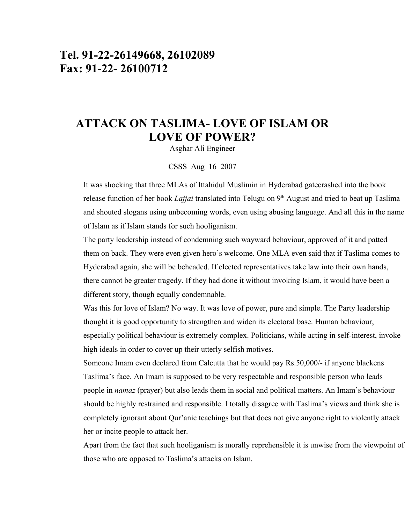# **Tel. 91-22-26149668, 26102089 Fax: 91-22- 26100712**

# **ATTACK ON TASLIMA- LOVE OF ISLAM OR LOVE OF POWER?**

Asghar Ali Engineer

#### CSSS Aug 16 2007

It was shocking that three MLAs of Ittahidul Muslimin in Hyderabad gatecrashed into the book release function of her book *Lajjai* translated into Telugu on 9<sup>th</sup> August and tried to beat up Taslima and shouted slogans using unbecoming words, even using abusing language. And all this in the name of Islam as if Islam stands for such hooliganism.

The party leadership instead of condemning such wayward behaviour, approved of it and patted them on back. They were even given hero's welcome. One MLA even said that if Taslima comes to Hyderabad again, she will be beheaded. If elected representatives take law into their own hands, there cannot be greater tragedy. If they had done it without invoking Islam, it would have been a different story, though equally condemnable.

Was this for love of Islam? No way. It was love of power, pure and simple. The Party leadership thought it is good opportunity to strengthen and widen its electoral base. Human behaviour, especially political behaviour is extremely complex. Politicians, while acting in self-interest, invoke high ideals in order to cover up their utterly selfish motives.

Someone Imam even declared from Calcutta that he would pay Rs.50,000/- if anyone blackens Taslima's face. An Imam is supposed to be very respectable and responsible person who leads people in *namaz* (prayer) but also leads them in social and political matters. An Imam's behaviour should be highly restrained and responsible. I totally disagree with Taslima's views and think she is completely ignorant about Qur'anic teachings but that does not give anyone right to violently attack her or incite people to attack her.

Apart from the fact that such hooliganism is morally reprehensible it is unwise from the viewpoint of those who are opposed to Taslima's attacks on Islam.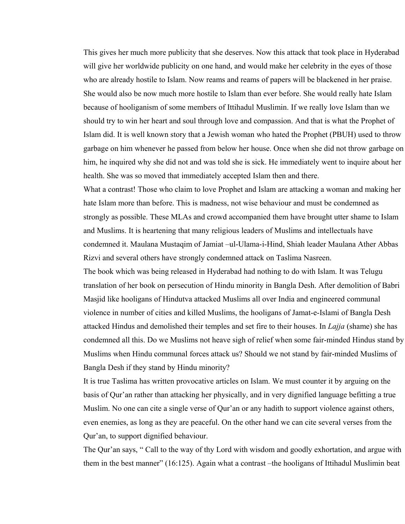This gives her much more publicity that she deserves. Now this attack that took place in Hyderabad will give her worldwide publicity on one hand, and would make her celebrity in the eyes of those who are already hostile to Islam. Now reams and reams of papers will be blackened in her praise. She would also be now much more hostile to Islam than ever before. She would really hate Islam because of hooliganism of some members of Ittihadul Muslimin. If we really love Islam than we should try to win her heart and soul through love and compassion. And that is what the Prophet of Islam did. It is well known story that a Jewish woman who hated the Prophet (PBUH) used to throw garbage on him whenever he passed from below her house. Once when she did not throw garbage on him, he inquired why she did not and was told she is sick. He immediately went to inquire about her health. She was so moved that immediately accepted Islam then and there.

What a contrast! Those who claim to love Prophet and Islam are attacking a woman and making her hate Islam more than before. This is madness, not wise behaviour and must be condemned as strongly as possible. These MLAs and crowd accompanied them have brought utter shame to Islam and Muslims. It is heartening that many religious leaders of Muslims and intellectuals have condemned it. Maulana Mustaqim of Jamiat –ul-Ulama-i-Hind, Shiah leader Maulana Ather Abbas Rizvi and several others have strongly condemned attack on Taslima Nasreen.

The book which was being released in Hyderabad had nothing to do with Islam. It was Telugu translation of her book on persecution of Hindu minority in Bangla Desh. After demolition of Babri Masjid like hooligans of Hindutva attacked Muslims all over India and engineered communal violence in number of cities and killed Muslims, the hooligans of Jamat-e-Islami of Bangla Desh attacked Hindus and demolished their temples and set fire to their houses. In *Lajja* (shame) she has condemned all this. Do we Muslims not heave sigh of relief when some fair-minded Hindus stand by Muslims when Hindu communal forces attack us? Should we not stand by fair-minded Muslims of Bangla Desh if they stand by Hindu minority?

It is true Taslima has written provocative articles on Islam. We must counter it by arguing on the basis of Qur'an rather than attacking her physically, and in very dignified language befitting a true Muslim. No one can cite a single verse of Qur'an or any hadith to support violence against others, even enemies, as long as they are peaceful. On the other hand we can cite several verses from the Qur'an, to support dignified behaviour.

The Qur'an says, " Call to the way of thy Lord with wisdom and goodly exhortation, and argue with them in the best manner" (16:125). Again what a contrast –the hooligans of Ittihadul Muslimin beat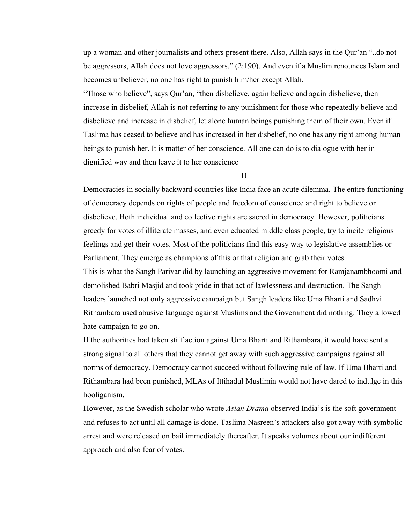up a woman and other journalists and others present there. Also, Allah says in the Qur'an "..do not be aggressors, Allah does not love aggressors." (2:190). And even if a Muslim renounces Islam and becomes unbeliever, no one has right to punish him/her except Allah.

"Those who believe", says Qur'an, "then disbelieve, again believe and again disbelieve, then increase in disbelief, Allah is not referring to any punishment for those who repeatedly believe and disbelieve and increase in disbelief, let alone human beings punishing them of their own. Even if Taslima has ceased to believe and has increased in her disbelief, no one has any right among human beings to punish her. It is matter of her conscience. All one can do is to dialogue with her in dignified way and then leave it to her conscience

II

Democracies in socially backward countries like India face an acute dilemma. The entire functioning of democracy depends on rights of people and freedom of conscience and right to believe or disbelieve. Both individual and collective rights are sacred in democracy. However, politicians greedy for votes of illiterate masses, and even educated middle class people, try to incite religious feelings and get their votes. Most of the politicians find this easy way to legislative assemblies or Parliament. They emerge as champions of this or that religion and grab their votes. This is what the Sangh Parivar did by launching an aggressive movement for Ramjanambhoomi and demolished Babri Masjid and took pride in that act of lawlessness and destruction. The Sangh leaders launched not only aggressive campaign but Sangh leaders like Uma Bharti and Sadhvi Rithambara used abusive language against Muslims and the Government did nothing. They allowed hate campaign to go on.

If the authorities had taken stiff action against Uma Bharti and Rithambara, it would have sent a strong signal to all others that they cannot get away with such aggressive campaigns against all norms of democracy. Democracy cannot succeed without following rule of law. If Uma Bharti and Rithambara had been punished, MLAs of Ittihadul Muslimin would not have dared to indulge in this hooliganism.

However, as the Swedish scholar who wrote *Asian Drama* observed India's is the soft government and refuses to act until all damage is done. Taslima Nasreen's attackers also got away with symbolic arrest and were released on bail immediately thereafter. It speaks volumes about our indifferent approach and also fear of votes.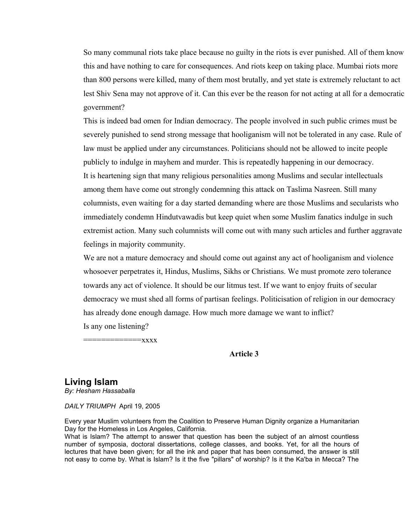So many communal riots take place because no guilty in the riots is ever punished. All of them know this and have nothing to care for consequences. And riots keep on taking place. Mumbai riots more than 800 persons were killed, many of them most brutally, and yet state is extremely reluctant to act lest Shiv Sena may not approve of it. Can this ever be the reason for not acting at all for a democratic government?

This is indeed bad omen for Indian democracy. The people involved in such public crimes must be severely punished to send strong message that hooliganism will not be tolerated in any case. Rule of law must be applied under any circumstances. Politicians should not be allowed to incite people publicly to indulge in mayhem and murder. This is repeatedly happening in our democracy. It is heartening sign that many religious personalities among Muslims and secular intellectuals among them have come out strongly condemning this attack on Taslima Nasreen. Still many columnists, even waiting for a day started demanding where are those Muslims and secularists who immediately condemn Hindutvawadis but keep quiet when some Muslim fanatics indulge in such extremist action. Many such columnists will come out with many such articles and further aggravate feelings in majority community.

We are not a mature democracy and should come out against any act of hooliganism and violence whosoever perpetrates it, Hindus, Muslims, Sikhs or Christians. We must promote zero tolerance towards any act of violence. It should be our litmus test. If we want to enjoy fruits of secular democracy we must shed all forms of partisan feelings. Politicisation of religion in our democracy has already done enough damage. How much more damage we want to inflict? Is any one listening?

 $=$ xxx $x$ 

#### **Article 3**

## **Living Islam**

*By: Hesham Hassaballa*

*DAILY TRIUMPH* April 19, 2005

Every year Muslim volunteers from the Coalition to Preserve Human Dignity organize a Humanitarian Day for the Homeless in Los Angeles, California.

What is Islam? The attempt to answer that question has been the subject of an almost countless number of symposia, doctoral dissertations, college classes, and books. Yet, for all the hours of lectures that have been given; for all the ink and paper that has been consumed, the answer is still not easy to come by. What is Islam? Is it the five "pillars" of worship? Is it the Ka'ba in Mecca? The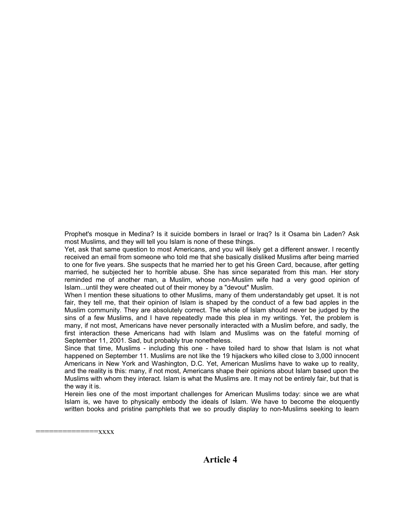Prophet's mosque in Medina? Is it suicide bombers in Israel or Iraq? Is it Osama bin Laden? Ask most Muslims, and they will tell you Islam is none of these things.

Yet, ask that same question to most Americans, and you will likely get a different answer. I recently received an email from someone who told me that she basically disliked Muslims after being married to one for five years. She suspects that he married her to get his Green Card, because, after getting married, he subjected her to horrible abuse. She has since separated from this man. Her story reminded me of another man, a Muslim, whose non-Muslim wife had a very good opinion of Islam...until they were cheated out of their money by a "devout" Muslim.

When I mention these situations to other Muslims, many of them understandably get upset. It is not fair, they tell me, that their opinion of Islam is shaped by the conduct of a few bad apples in the Muslim community. They are absolutely correct. The whole of Islam should never be judged by the sins of a few Muslims, and I have repeatedly made this plea in my writings. Yet, the problem is many, if not most, Americans have never personally interacted with a Muslim before, and sadly, the first interaction these Americans had with Islam and Muslims was on the fateful morning of September 11, 2001. Sad, but probably true nonetheless.

Since that time, Muslims - including this one - have toiled hard to show that Islam is not what happened on September 11. Muslims are not like the 19 hijackers who killed close to 3,000 innocent Americans in New York and Washington, D.C. Yet, American Muslims have to wake up to reality, and the reality is this: many, if not most, Americans shape their opinions about Islam based upon the Muslims with whom they interact. Islam is what the Muslims are. It may not be entirely fair, but that is the way it is.

Herein lies one of the most important challenges for American Muslims today: since we are what Islam is, we have to physically embody the ideals of Islam. We have to become the eloquently written books and pristine pamphlets that we so proudly display to non-Muslims seeking to learn

 $=xxxx$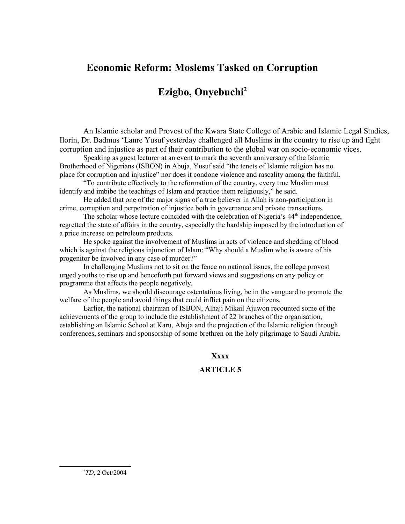## **Economic Reform: Moslems Tasked on Corruption**

# **Ezigbo, Onyebuchi[2](#page-8-0)**

An Islamic scholar and Provost of the Kwara State College of Arabic and Islamic Legal Studies, Ilorin, Dr. Badmus 'Lanre Yusuf yesterday challenged all Muslims in the country to rise up and fight corruption and injustice as part of their contribution to the global war on socio-economic vices.

Speaking as guest lecturer at an event to mark the seventh anniversary of the Islamic Brotherhood of Nigerians (ISBON) in Abuja, Yusuf said "the tenets of Islamic religion has no place for corruption and injustice" nor does it condone violence and rascality among the faithful.

"To contribute effectively to the reformation of the country, every true Muslim must identify and imbibe the teachings of Islam and practice them religiously," he said.

He added that one of the major signs of a true believer in Allah is non-participation in crime, corruption and perpetration of injustice both in governance and private transactions.

The scholar whose lecture coincided with the celebration of Nigeria's 44<sup>th</sup> independence, regretted the state of affairs in the country, especially the hardship imposed by the introduction of a price increase on petroleum products.

He spoke against the involvement of Muslims in acts of violence and shedding of blood which is against the religious injunction of Islam: "Why should a Muslim who is aware of his progenitor be involved in any case of murder?"

In challenging Muslims not to sit on the fence on national issues, the college provost urged youths to rise up and henceforth put forward views and suggestions on any policy or programme that affects the people negatively.

As Muslims, we should discourage ostentatious living, be in the vanguard to promote the welfare of the people and avoid things that could inflict pain on the citizens.

Earlier, the national chairman of ISBON, Alhaji Mikail Ajuwon recounted some of the achievements of the group to include the establishment of 22 branches of the organisation, establishing an Islamic School at Karu, Abuja and the projection of the Islamic religion through conferences, seminars and sponsorship of some brethren on the holy pilgrimage to Saudi Arabia.

#### **Xxxx**

### <span id="page-8-0"></span>**ARTICLE 5**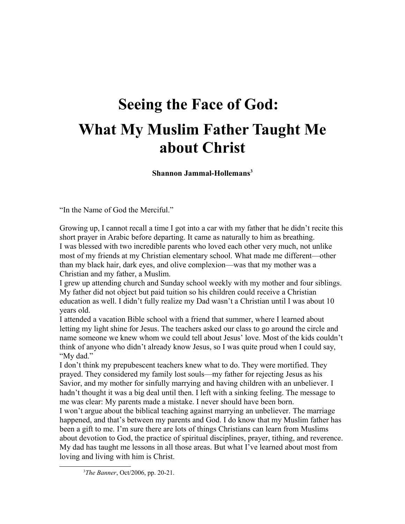# **Seeing the Face of God: What My Muslim Father Taught Me about Christ**

**Shannon Jammal-Hollemans[3](#page-9-0)**

"In the Name of God the Merciful."

Growing up, I cannot recall a time I got into a car with my father that he didn't recite this short prayer in Arabic before departing. It came as naturally to him as breathing. I was blessed with two incredible parents who loved each other very much, not unlike most of my friends at my Christian elementary school. What made me different—other than my black hair, dark eyes, and olive complexion—was that my mother was a Christian and my father, a Muslim.

I grew up attending church and Sunday school weekly with my mother and four siblings. My father did not object but paid tuition so his children could receive a Christian education as well. I didn't fully realize my Dad wasn't a Christian until I was about 10 years old.

I attended a vacation Bible school with a friend that summer, where I learned about letting my light shine for Jesus. The teachers asked our class to go around the circle and name someone we knew whom we could tell about Jesus' love. Most of the kids couldn't think of anyone who didn't already know Jesus, so I was quite proud when I could say, "My dad."

I don't think my prepubescent teachers knew what to do. They were mortified. They prayed. They considered my family lost souls—my father for rejecting Jesus as his Savior, and my mother for sinfully marrying and having children with an unbeliever. I hadn't thought it was a big deal until then. I left with a sinking feeling. The message to me was clear: My parents made a mistake. I never should have been born.

I won't argue about the biblical teaching against marrying an unbeliever. The marriage happened, and that's between my parents and God. I do know that my Muslim father has been a gift to me. I'm sure there are lots of things Christians can learn from Muslims about devotion to God, the practice of spiritual disciplines, prayer, tithing, and reverence. My dad has taught me lessons in all those areas. But what I've learned about most from loving and living with him is Christ.

<span id="page-9-0"></span><sup>3</sup>*The Banner*, Oct/2006, pp. 20-21.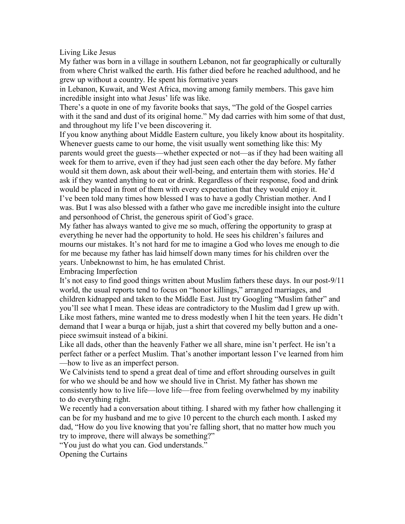Living Like Jesus

My father was born in a village in southern Lebanon, not far geographically or culturally from where Christ walked the earth. His father died before he reached adulthood, and he grew up without a country. He spent his formative years

in Lebanon, Kuwait, and West Africa, moving among family members. This gave him incredible insight into what Jesus' life was like.

There's a quote in one of my favorite books that says, "The gold of the Gospel carries with it the sand and dust of its original home." My dad carries with him some of that dust, and throughout my life I've been discovering it.

If you know anything about Middle Eastern culture, you likely know about its hospitality. Whenever guests came to our home, the visit usually went something like this: My parents would greet the guests—whether expected or not—as if they had been waiting all week for them to arrive, even if they had just seen each other the day before. My father would sit them down, ask about their well-being, and entertain them with stories. He'd ask if they wanted anything to eat or drink. Regardless of their response, food and drink would be placed in front of them with every expectation that they would enjoy it. I've been told many times how blessed I was to have a godly Christian mother. And I was. But I was also blessed with a father who gave me incredible insight into the culture and personhood of Christ, the generous spirit of God's grace.

My father has always wanted to give me so much, offering the opportunity to grasp at everything he never had the opportunity to hold. He sees his children's failures and mourns our mistakes. It's not hard for me to imagine a God who loves me enough to die for me because my father has laid himself down many times for his children over the years. Unbeknownst to him, he has emulated Christ.

Embracing Imperfection

It's not easy to find good things written about Muslim fathers these days. In our post-9/11 world, the usual reports tend to focus on "honor killings," arranged marriages, and children kidnapped and taken to the Middle East. Just try Googling "Muslim father" and you'll see what I mean. These ideas are contradictory to the Muslim dad I grew up with. Like most fathers, mine wanted me to dress modestly when I hit the teen years. He didn't demand that I wear a burqa or hijab, just a shirt that covered my belly button and a onepiece swimsuit instead of a bikini.

Like all dads, other than the heavenly Father we all share, mine isn't perfect. He isn't a perfect father or a perfect Muslim. That's another important lesson I've learned from him —how to live as an imperfect person.

We Calvinists tend to spend a great deal of time and effort shrouding ourselves in guilt for who we should be and how we should live in Christ. My father has shown me consistently how to live life—love life—free from feeling overwhelmed by my inability to do everything right.

We recently had a conversation about tithing. I shared with my father how challenging it can be for my husband and me to give 10 percent to the church each month. I asked my dad, "How do you live knowing that you're falling short, that no matter how much you try to improve, there will always be something?"

"You just do what you can. God understands."

Opening the Curtains